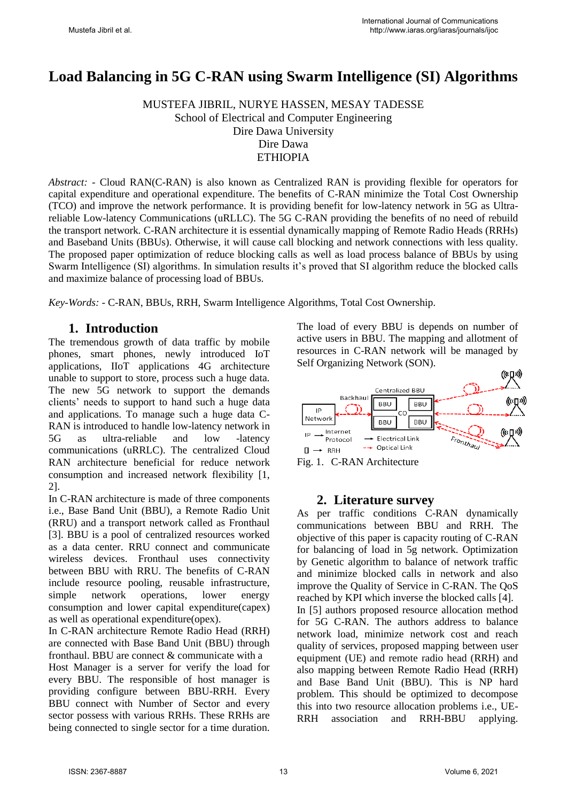# **Load Balancing in 5G C-RAN using Swarm Intelligence (SI) Algorithms**

MUSTEFA JIBRIL, NURYE HASSEN, MESAY TADESSE School of Electrical and Computer Engineering Dire Dawa University Dire Dawa ETHIOPIA

*Abstract: -* Cloud RAN(C-RAN) is also known as Centralized RAN is providing flexible for operators for capital expenditure and operational expenditure. The benefits of C-RAN minimize the Total Cost Ownership (TCO) and improve the network performance. It is providing benefit for low-latency network in 5G as Ultrareliable Low-latency Communications (uRLLC). The 5G C-RAN providing the benefits of no need of rebuild the transport network. C-RAN architecture it is essential dynamically mapping of Remote Radio Heads (RRHs) and Baseband Units (BBUs). Otherwise, it will cause call blocking and network connections with less quality. The proposed paper optimization of reduce blocking calls as well as load process balance of BBUs by using Swarm Intelligence (SI) algorithms. In simulation results it's proved that SI algorithm reduce the blocked calls and maximize balance of processing load of BBUs.

*Key-Words: -* C-RAN, BBUs, RRH, Swarm Intelligence Algorithms, Total Cost Ownership.

### **1. Introduction**

The tremendous growth of data traffic by mobile phones, smart phones, newly introduced IoT applications, IIoT applications 4G architecture unable to support to store, process such a huge data. The new 5G network to support the demands clients' needs to support to hand such a huge data and applications. To manage such a huge data C-RAN is introduced to handle low-latency network in 5G as ultra-reliable and low -latency communications (uRRLC). The centralized Cloud RAN architecture beneficial for reduce network consumption and increased network flexibility [1, 2].

In C-RAN architecture is made of three components i.e., Base Band Unit (BBU), a Remote Radio Unit (RRU) and a transport network called as Fronthaul [3]. BBU is a pool of centralized resources worked as a data center. RRU connect and communicate wireless devices. Fronthaul uses connectivity between BBU with RRU. The benefits of C-RAN include resource pooling, reusable infrastructure, simple network operations, lower energy consumption and lower capital expenditure(capex) as well as operational expenditure(opex).

In C-RAN architecture Remote Radio Head (RRH) are connected with Base Band Unit (BBU) through fronthaul. BBU are connect & communicate with a Host Manager is a server for verify the load for every BBU. The responsible of host manager is providing configure between BBU-RRH. Every BBU connect with Number of Sector and every sector possess with various RRHs. These RRHs are being connected to single sector for a time duration. The load of every BBU is depends on number of active users in BBU. The mapping and allotment of resources in C-RAN network will be managed by Self Organizing Network (SON).



Fig. 1. C-RAN Architecture

#### **2. Literature survey**

As per traffic conditions C-RAN dynamically communications between BBU and RRH. The objective of this paper is capacity routing of C-RAN for balancing of load in 5g network. Optimization by Genetic algorithm to balance of network traffic and minimize blocked calls in network and also improve the Quality of Service in C-RAN. The QoS reached by KPI which inverse the blocked calls [4]. In [5] authors proposed resource allocation method for 5G C-RAN. The authors address to balance network load, minimize network cost and reach quality of services, proposed mapping between user equipment (UE) and remote radio head (RRH) and also mapping between Remote Radio Head (RRH) and Base Band Unit (BBU). This is NP hard problem. This should be optimized to decompose this into two resource allocation problems i.e., UE-RRH association and RRH-BBU applying.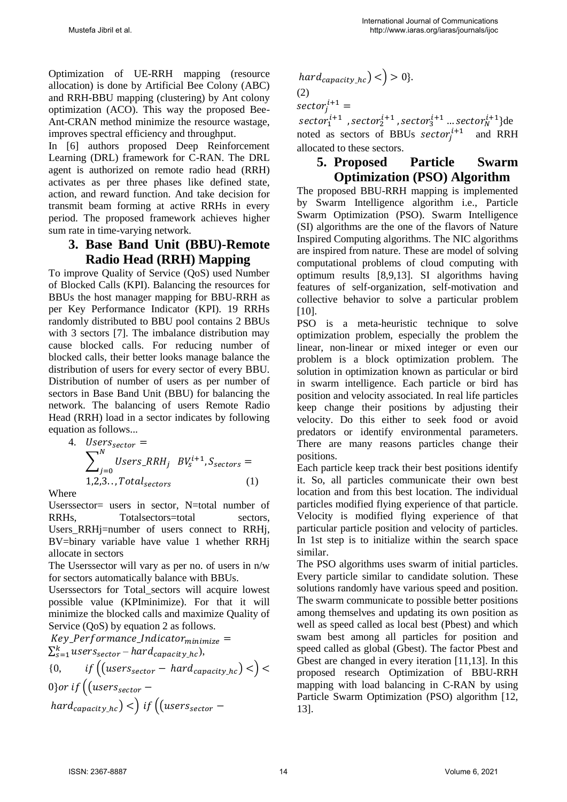Optimization of UE-RRH mapping (resource allocation) is done by Artificial Bee Colony (ABC) and RRH-BBU mapping (clustering) by Ant colony optimization (ACO). This way the proposed Bee-Ant-CRAN method minimize the resource wastage, improves spectral efficiency and throughput.

In [6] authors proposed Deep Reinforcement Learning (DRL) framework for C-RAN. The DRL agent is authorized on remote radio head (RRH) activates as per three phases like defined state, action, and reward function. And take decision for transmit beam forming at active RRHs in every period. The proposed framework achieves higher sum rate in time-varying network.

## **3. Base Band Unit (BBU)-Remote Radio Head (RRH) Mapping**

To improve Quality of Service (QoS) used Number of Blocked Calls (KPI). Balancing the resources for BBUs the host manager mapping for BBU-RRH as per Key Performance Indicator (KPI). 19 RRHs randomly distributed to BBU pool contains 2 BBUs with 3 sectors [7]. The imbalance distribution may cause blocked calls. For reducing number of blocked calls, their better looks manage balance the distribution of users for every sector of every BBU. Distribution of number of users as per number of sectors in Base Band Unit (BBU) for balancing the network. The balancing of users Remote Radio Head (RRH) load in a sector indicates by following equation as follows...

4. 
$$
Users_{sector} =
$$

$$
\sum_{j=0}^{N} Users\_RRH_j BY_s^{i+1}, S_{sectors} =
$$

$$
1,2,3...Total_{sectors}
$$
 (1)

Where

Userssector= users in sector, N=total number of RRHs, Totalsectors=total sectors, Users RRHj=number of users connect to RRHj, BV=binary variable have value 1 whether RRHj allocate in sectors

The Userssector will vary as per no. of users in n/w for sectors automatically balance with BBUs.

Userssectors for Total\_sectors will acquire lowest possible value (KPIminimize). For that it will minimize the blocked calls and maximize Quality of Service (QoS) by equation 2 as follows.

 $Key\_Performance\_Indication_{minimize} =$  $\sum_{s=1}^k users_{sector} - hard_{capacity\_hc}),$ {0,  $if((users_{sector} - hard_{capacity\_hc}) <)$  < 0} or if  $((users_{sector}$  $hat_{capacity\_hc})$  <) if  $((users_{sector} -$ 

 $hard_{capacity\; hc}$   $\langle$   $>$  0}. (2)  $\text{sector}_j^{i+1} =$  $sector_1^{i+1}$  ,  $sector_2^{i+1}$  ,  $sector_3^{i+1}$  ...  $sector_N^{i+1}$ }de

noted as sectors of BBUs sector<sub>j</sub> $i+1$  and RRH allocated to these sectors.

#### **5. Proposed Particle Swarm Optimization (PSO) Algorithm**

The proposed BBU-RRH mapping is implemented by Swarm Intelligence algorithm i.e., Particle Swarm Optimization (PSO). Swarm Intelligence (SI) algorithms are the one of the flavors of Nature Inspired Computing algorithms. The NIC algorithms are inspired from nature. These are model of solving computational problems of cloud computing with optimum results [8,9,13]. SI algorithms having features of self-organization, self-motivation and collective behavior to solve a particular problem [10].

PSO is a meta-heuristic technique to solve optimization problem, especially the problem the linear, non-linear or mixed integer or even our problem is a block optimization problem. The solution in optimization known as particular or bird in swarm intelligence. Each particle or bird has position and velocity associated. In real life particles keep change their positions by adjusting their velocity. Do this either to seek food or avoid predators or identify environmental parameters. There are many reasons particles change their positions.

Each particle keep track their best positions identify it. So, all particles communicate their own best location and from this best location. The individual particles modified flying experience of that particle. Velocity is modified flying experience of that particular particle position and velocity of particles. In 1st step is to initialize within the search space similar.

The PSO algorithms uses swarm of initial particles. Every particle similar to candidate solution. These solutions randomly have various speed and position. The swarm communicate to possible better positions among themselves and updating its own position as well as speed called as local best (Pbest) and which swam best among all particles for position and speed called as global (Gbest). The factor Pbest and Gbest are changed in every iteration [11,13]. In this proposed research Optimization of BBU-RRH mapping with load balancing in C-RAN by using Particle Swarm Optimization (PSO) algorithm [12, 13].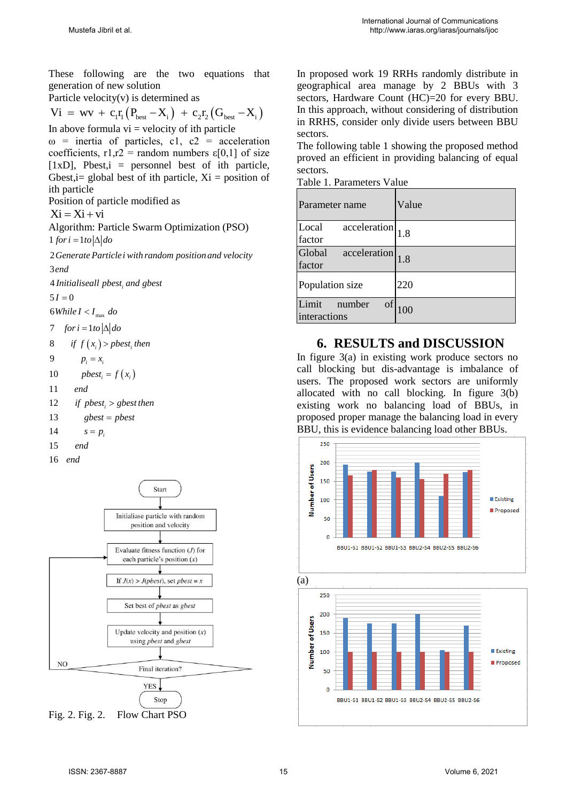These following are the two equations that generation of new solution

Particle velocity(v) is determined as

These following are the two equations that  
\ngeneration of new solution  
\nParticle velocity(v) is determined as  
\n
$$
Vi = wv + c_1r_1(P_{\text{best}} - X_i) + c_2r_2(G_{\text{best}} - X_i)
$$
\nIn  
\nIn above formula, it is is the variable.

In above formula  $vi = velocity$  of ith particle  $\omega$  = inertia of particles, c1, c2 = acceleration coefficients,  $r1,r2 =$  random numbers  $\varepsilon[0,1]$  of size [ $1xD$ ], Pbest, $i =$  personnel best of ith particle, Gbest,  $i=$  global best of ith particle,  $Xi =$  position of ith particle

Position of particle modified as

$$
Xi = Xi + vi
$$

Algorithm: Particle Swarm Optimization (PSO)<br>  $1$  *for i* =  $1$  *to*  $|\Delta|$  *do* 

2 *Generate Particlei with random position and velocity* 3 *end* end<br>Initialiseall pbest<sub>i</sub> and gbest

$$
4\text{ Initiali}\\5I=0
$$

 $5I = 0$ <br>  $6 \text{While } I < I_{\text{max}} \text{ do}$ 

 $\begin{aligned} 6 \textit{While } I < I_{\text{max}} \ \textit{do} \\ 7 & \quad \textit{for } i = 1 \textit{to} \left| \Delta \right| \textit{do} \end{aligned}$ 

*ie*  $I < I_{\text{max}}$  *do*<br> *if*  $f(x_i) > pbest_i$  *then* est<sub>i</sub> then $(x_i)$ 8  $f(x_i) > p_i = x_i$ 

$$
9 \qquad p_i = x_i
$$

9 
$$
p_i = x_i
$$
  
10  $pbest_i = f(x_i)$ 

- 11 *end*
- 12 *i i i i i i i j pbest*<sub>*i*</sub> > *gbest then gbest pbest*

13 
$$
gbest = pbes
$$
  
14  $s = p_i$ 

$$
14 \qquad s = p_i
$$

$$
15 \qquad end
$$

16 *end*



Fig. 2. Fig. 2. Flow Chart PSO

In proposed work 19 RRHs randomly distribute in geographical area manage by 2 BBUs with 3 sectors, Hardware Count (HC)=20 for every BBU. In this approach, without considering of distribution in RRHS, consider only divide users between BBU sectors.

The following table 1 showing the proposed method proved an efficient in providing balancing of equal sectors.

Table 1. Parameters Value

| Parameter name                        | Value |
|---------------------------------------|-------|
| acceleration<br>Local<br>factor       | 1.8   |
| Global<br>acceleration<br>factor      | 1.8   |
| Population size                       | 220   |
| Limit<br>οf<br>number<br>interactions | 100   |

## **6. RESULTS and DISCUSSION**

In figure 3(a) in existing work produce sectors no call blocking but dis-advantage is imbalance of users. The proposed work sectors are uniformly allocated with no call blocking. In figure 3(b) existing work no balancing load of BBUs, in proposed proper manage the balancing load in every BBU, this is evidence balancing load other BBUs.



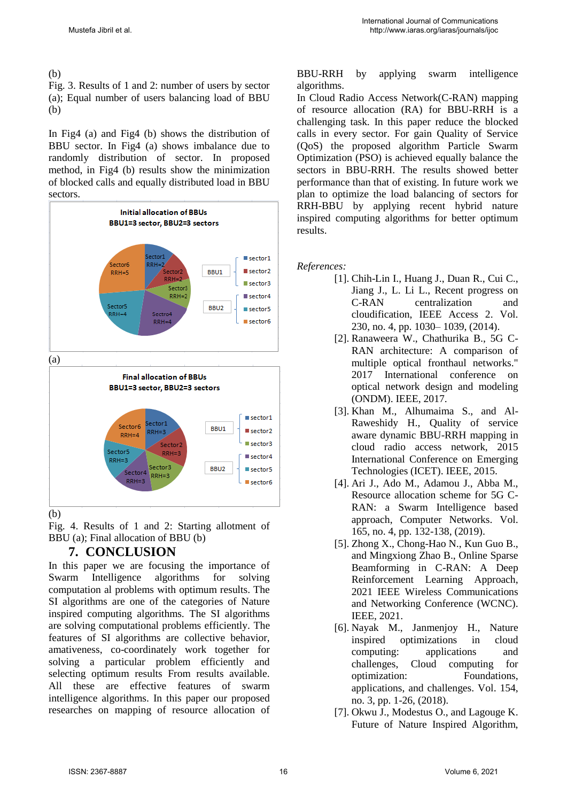(b)

Fig. 3. Results of 1 and 2: number of users by sector (a); Equal number of users balancing load of BBU (b)

In Fig4 (a) and Fig4 (b) shows the distribution of BBU sector. In Fig4 (a) shows imbalance due to randomly distribution of sector. In proposed method, in Fig4 (b) results show the minimization of blocked calls and equally distributed load in BBU sectors.



(b)

Fig. 4. Results of 1 and 2: Starting allotment of BBU (a); Final allocation of BBU (b)

# **7. CONCLUSION**

In this paper we are focusing the importance of Swarm Intelligence algorithms for solving computation al problems with optimum results. The SI algorithms are one of the categories of Nature inspired computing algorithms. The SI algorithms are solving computational problems efficiently. The features of SI algorithms are collective behavior, amativeness, co-coordinately work together for solving a particular problem efficiently and selecting optimum results From results available. All these are effective features of swarm intelligence algorithms. In this paper our proposed researches on mapping of resource allocation of

#### BBU-RRH by applying swarm intelligence algorithms.

In Cloud Radio Access Network(C-RAN) mapping of resource allocation (RA) for BBU-RRH is a challenging task. In this paper reduce the blocked calls in every sector. For gain Quality of Service (QoS) the proposed algorithm Particle Swarm Optimization (PSO) is achieved equally balance the sectors in BBU-RRH. The results showed better performance than that of existing. In future work we plan to optimize the load balancing of sectors for RRH-BBU by applying recent hybrid nature inspired computing algorithms for better optimum results.

*References:* 

- [1]. Chih-Lin I., Huang J., Duan R., Cui C., Jiang J., L. Li L., Recent progress on C-RAN centralization and cloudification, IEEE Access 2. Vol. 230, no. 4, pp. 1030– 1039, (2014).
- [2]. Ranaweera W., Chathurika B., 5G C-RAN architecture: A comparison of multiple optical fronthaul networks." 2017 International conference on optical network design and modeling (ONDM). IEEE, 2017.
- [3]. Khan M., Alhumaima S., and Al-Raweshidy H., Quality of service aware dynamic BBU-RRH mapping in cloud radio access network, 2015 International Conference on Emerging Technologies (ICET). IEEE, 2015.
- [4]. Ari J., Ado M., Adamou J., Abba M., Resource allocation scheme for 5G C-RAN: a Swarm Intelligence based approach, Computer Networks. Vol. 165, no. 4, pp. 132-138, (2019).
- [5]. Zhong X., Chong-Hao N., Kun Guo B., and Mingxiong Zhao B., Online Sparse Beamforming in C-RAN: A Deep Reinforcement Learning Approach, 2021 IEEE Wireless Communications and Networking Conference (WCNC). IEEE, 2021.
- [6]. Nayak M., Janmenjoy H., Nature inspired optimizations in cloud computing: applications and challenges, Cloud computing for optimization: Foundations, applications, and challenges. Vol. 154, no. 3, pp. 1-26, (2018).
- [7]. Okwu J., Modestus O., and Lagouge K. Future of Nature Inspired Algorithm,